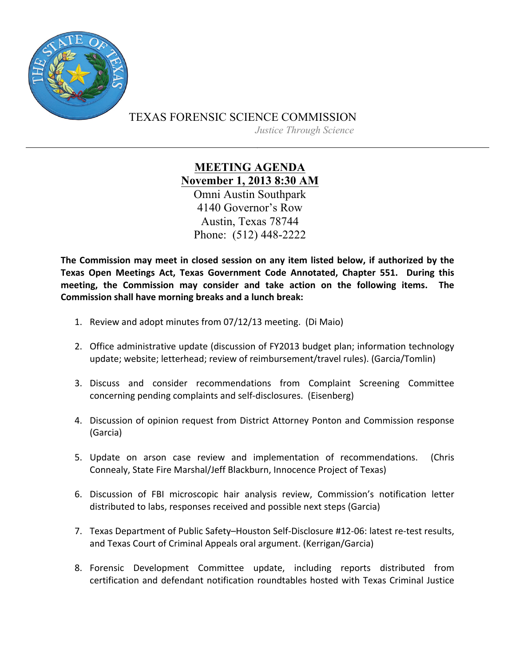

TEXAS FORENSIC SCIENCE COMMISSION

*Justice Through Science*

**MEETING AGENDA November 1, 2013 8:30 AM** Omni Austin Southpark 4140 Governor's Row Austin, Texas 78744 Phone: (512) 448-2222

The Commission may meet in closed session on any item listed below, if authorized by the Texas Open Meetings Act, Texas Government Code Annotated, Chapter 551. During this meeting, the Commission may consider and take action on the following items. The **Commission shall have morning breaks and a lunch break:** 

- 1. Review and adopt minutes from 07/12/13 meeting. (Di Maio)
- 2. Office administrative update (discussion of FY2013 budget plan; information technology update; website; letterhead; review of reimbursement/travel rules). (Garcia/Tomlin)
- 3. Discuss and consider recommendations from Complaint Screening Committee concerning pending complaints and self-disclosures. (Eisenberg)
- 4. Discussion of opinion request from District Attorney Ponton and Commission response (Garcia)
- 5. Update on arson case review and implementation of recommendations. (Chris Connealy, State Fire Marshal/Jeff Blackburn, Innocence Project of Texas)
- 6. Discussion of FBI microscopic hair analysis review, Commission's notification letter distributed to labs, responses received and possible next steps (Garcia)
- 7. Texas Department of Public Safety-Houston Self-Disclosure #12-06: latest re-test results, and Texas Court of Criminal Appeals oral argument. (Kerrigan/Garcia)
- 8. Forensic Development Committee update, including reports distributed from certification and defendant notification roundtables hosted with Texas Criminal Justice